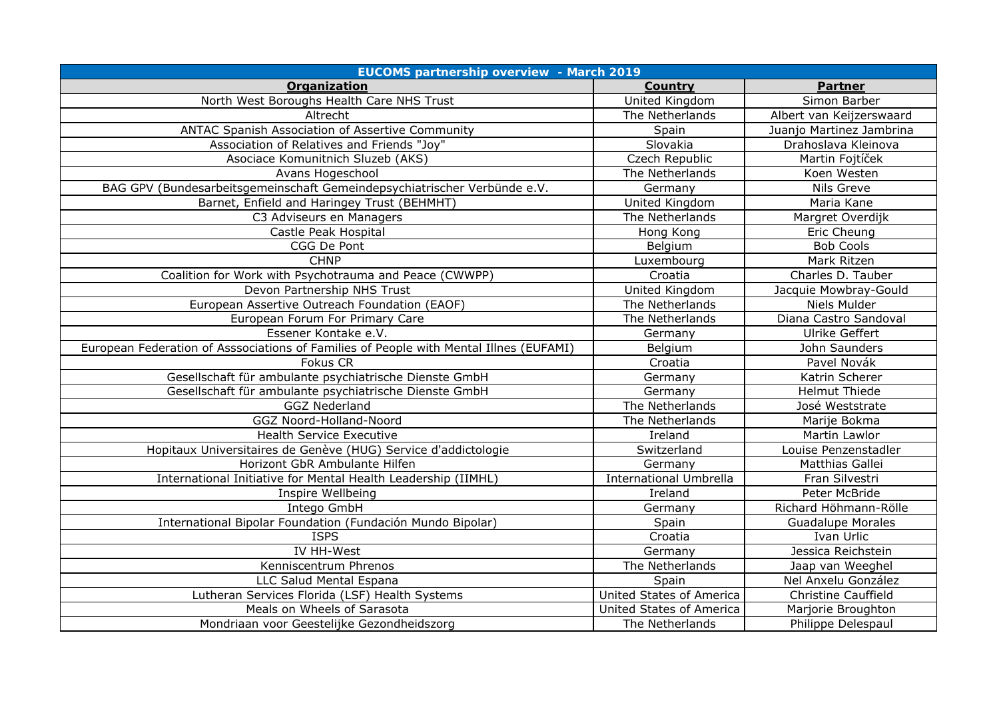| <b>EUCOMS partnership overview - March 2019</b>                                        |                               |                            |  |
|----------------------------------------------------------------------------------------|-------------------------------|----------------------------|--|
| Organization                                                                           | Country                       | Partner                    |  |
| North West Boroughs Health Care NHS Trust                                              | United Kingdom                | Simon Barber               |  |
| Altrecht                                                                               | The Netherlands               | Albert van Keijzerswaard   |  |
| ANTAC Spanish Association of Assertive Community                                       | Spain                         | Juanjo Martinez Jambrina   |  |
| Association of Relatives and Friends "Joy"                                             | Slovakia                      | Drahoslava Kleinova        |  |
| Asociace Komunitnich Sluzeb (AKS)                                                      | Czech Republic                | Martin Fojtíček            |  |
| Avans Hogeschool                                                                       | The Netherlands               | Koen Westen                |  |
| BAG GPV (Bundesarbeitsgemeinschaft Gemeindepsychiatrischer Verbünde e.V.               | Germany                       | Nils Greve                 |  |
| Barnet, Enfield and Haringey Trust (BEHMHT)                                            | United Kingdom                | Maria Kane                 |  |
| C3 Adviseurs en Managers                                                               | The Netherlands               | Margret Overdijk           |  |
| Castle Peak Hospital                                                                   | Hong Kong                     | Eric Cheung                |  |
| CGG De Pont                                                                            | Belgium                       | <b>Bob Cools</b>           |  |
| CHNP                                                                                   | Luxembourg                    | Mark Ritzen                |  |
| Coalition for Work with Psychotrauma and Peace (CWWPP)                                 | Croatia                       | Charles D. Tauber          |  |
| Devon Partnership NHS Trust                                                            | United Kingdom                | Jacquie Mowbray-Gould      |  |
| European Assertive Outreach Foundation (EAOF)                                          | The Netherlands               | Niels Mulder               |  |
| European Forum For Primary Care                                                        | The Netherlands               | Diana Castro Sandoval      |  |
| Essener Kontake e.V.                                                                   | Germany                       | Ulrike Geffert             |  |
| European Federation of Asssociations of Families of People with Mental Illnes (EUFAMI) | Belgium                       | John Saunders              |  |
| Fokus CR                                                                               | Croatia                       | Pavel Novák                |  |
| Gesellschaft für ambulante psychiatrische Dienste GmbH                                 | Germany                       | Katrin Scherer             |  |
| Gesellschaft für ambulante psychiatrische Dienste GmbH                                 | Germany                       | <b>Helmut Thiede</b>       |  |
| <b>GGZ Nederland</b>                                                                   | The Netherlands               | José Weststrate            |  |
| GGZ Noord-Holland-Noord                                                                | The Netherlands               | Marije Bokma               |  |
| <b>Health Service Executive</b>                                                        | Ireland                       | Martin Lawlor              |  |
| Hopitaux Universitaires de Genève (HUG) Service d'addictologie                         | Switzerland                   | Louise Penzenstadler       |  |
| Horizont GbR Ambulante Hilfen                                                          | Germany                       | Matthias Gallei            |  |
| International Initiative for Mental Health Leadership (IIMHL)                          | <b>International Umbrella</b> | Fran Silvestri             |  |
| Inspire Wellbeing                                                                      | Ireland                       | Peter McBride              |  |
| Intego GmbH                                                                            | Germany                       | Richard Höhmann-Rölle      |  |
| International Bipolar Foundation (Fundación Mundo Bipolar)                             | Spain                         | <b>Guadalupe Morales</b>   |  |
| <b>ISPS</b>                                                                            | Croatia                       | Ivan Urlic                 |  |
| IV HH-West                                                                             | Germany                       | Jessica Reichstein         |  |
| Kenniscentrum Phrenos                                                                  | The Netherlands               | Jaap van Weeghel           |  |
| LLC Salud Mental Espana                                                                | Spain                         | Nel Anxelu González        |  |
| Lutheran Services Florida (LSF) Health Systems                                         | United States of America      | <b>Christine Cauffield</b> |  |
| Meals on Wheels of Sarasota                                                            | United States of America      | Marjorie Broughton         |  |
| Mondriaan voor Geestelijke Gezondheidszorg                                             | The Netherlands               | Philippe Delespaul         |  |